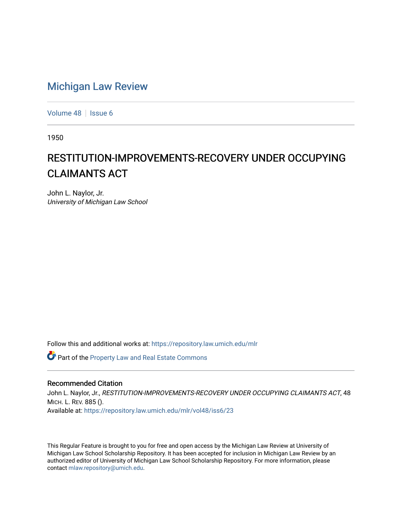## [Michigan Law Review](https://repository.law.umich.edu/mlr)

[Volume 48](https://repository.law.umich.edu/mlr/vol48) | [Issue 6](https://repository.law.umich.edu/mlr/vol48/iss6)

1950

## RESTITUTION-IMPROVEMENTS-RECOVERY UNDER OCCUPYING CLAIMANTS ACT

John L. Naylor, Jr. University of Michigan Law School

Follow this and additional works at: [https://repository.law.umich.edu/mlr](https://repository.law.umich.edu/mlr?utm_source=repository.law.umich.edu%2Fmlr%2Fvol48%2Fiss6%2F23&utm_medium=PDF&utm_campaign=PDFCoverPages) 

Part of the [Property Law and Real Estate Commons](http://network.bepress.com/hgg/discipline/897?utm_source=repository.law.umich.edu%2Fmlr%2Fvol48%2Fiss6%2F23&utm_medium=PDF&utm_campaign=PDFCoverPages) 

## Recommended Citation

John L. Naylor, Jr., RESTITUTION-IMPROVEMENTS-RECOVERY UNDER OCCUPYING CLAIMANTS ACT, 48 MICH. L. REV. 885 (). Available at: [https://repository.law.umich.edu/mlr/vol48/iss6/23](https://repository.law.umich.edu/mlr/vol48/iss6/23?utm_source=repository.law.umich.edu%2Fmlr%2Fvol48%2Fiss6%2F23&utm_medium=PDF&utm_campaign=PDFCoverPages) 

This Regular Feature is brought to you for free and open access by the Michigan Law Review at University of Michigan Law School Scholarship Repository. It has been accepted for inclusion in Michigan Law Review by an authorized editor of University of Michigan Law School Scholarship Repository. For more information, please contact [mlaw.repository@umich.edu](mailto:mlaw.repository@umich.edu).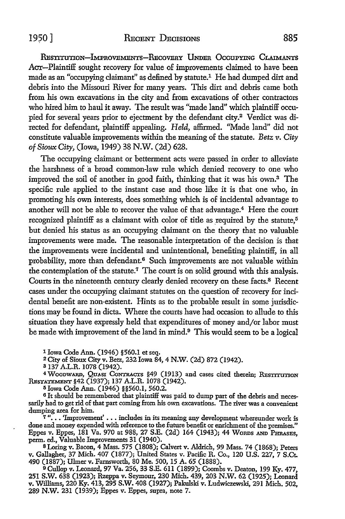## 1950] RECENT DECISIONS 885

RESTITUTION-IMPROVEMENTS-RECOVERY UNDER OCCUPYING CLAIMANTS Acr-Plaintiff sought recovery for value of improvements claimed to have been made as an "occupying claimant" as defined by statute.1 He had dumped dirt and debris into the Missouri River for many years. This dirt and debris came both from his own excavations in the city and from excavations of other contractors who hired him to haul it away. The result was "made land" which plaintiff occupied for several years prior to ejectment by the defendant city.2 Verdict was directed for defendant, plaintiff appealing. *Held,* affirmed. "Made land" did not constitute valuable improvements within the meaning of the statute. *Betz v. City of Sioux City,* (Iowa, 1949) 38 N.W. (2d) 628.

The occupying claimant or betterment acts were passed in order to alleviate the harshness of a broad common-law rule which denied recovery to one who improved the soil of another in good faith, thinking that it was his own.3 The specific rule applied to the instant case and those like it is that one who, in promoting his own interests, does something which is of incidental advantage to another will not be able to recover the value of that advantage.<sup>4</sup> Here the court recognized plaintiff as a claimant with color of title as required by the statute,<sup>5</sup> but denied his status as an occupying claimant on the theory that no valuable improvements were made. The reasonable interpretation of the decision is that the improvements were incidental and unintentional, benefiting plaintiff, in all probability, more than defendant.<sup>6</sup> Such improvements are not valuable within the contemplation of the statute.7 The court is on solid ground with this analysis. Courts in the nineteenth century clearly denied recovery on these facts.8 Recent cases under the occupying claimant statutes on the question of recovery for incidental benefit are non-existent. Hints as to the probable result in some jurisdictions may be found in dicta. Where the courts have had occasion to allude to this situation they have expressly held that expenditures of money and/or labor must be made with improvement of the land in mind.<sup>9</sup> This would seem to be a logical

1 Iowa Code Ann. (1946) §560.1 et seq.

2 City of Sioux City v. Betz, 232 Iowa 84, 4 N.W. (2d) 872 (1942).

3 137 A.L.R. 1078 (1942).

<sup>4</sup> WoodwARD, QuAsi Contracts §49 (1913) and cases cited therein; RESTITUTION RESTATEMENT §42 (1937); 137 A.L.R. 1078 (1942).

<sup>5</sup>Iowa Code Ann. (1946) §§560.1, 560.2.

<sup>6</sup> It should be remembered that plaintiff was paid to dump part of the debris and necessarily had to get rid of that part coming from his own excavations. The river was a convenient dumping area for him.

 $7$  "... 'Improvement' ... includes in its meaning any development whereunder work is done and money expended with reference to the future benefit or enrichment of the premises." Eppes v. Eppes, 181 Va. 970 at 988, 27 S.E. (2d) 164 (1943); 44 WoRDs AND PHRAsBs, perm. ed., Valuable Improvements 31 (1940).

8 Loring v. Bacon, 4 Mass. 575 (1808); Calvert v. Aldrich, 99 Mass. 74 (1868); Peters v. Gallagher, 37 Mich. 407 (1877); United States v. Pacific R. Co., 120 U.S. 227, 7 S.Ct. 490 (1887); Ulmer v. Farnsworth, 80 Me. 500, 15 A. 65 (1888).

9 Cullop v. Leonard, 97 Va. 256, 33 S.E. 611 (1899); Coombs v. Deaton, 199 Ky. 477, 251 S.W. 638 (1923); Rzeppa v. Seymour, 230 Mich. 439, 203 N.W. 62 (1925); Leonard v. Williams, 220 Ky. 413,295 S.W. 408 (1927); Pakulski v. Ludwiczewski, 291 Mich. 502, 289 N.W. 231 (1939); Eppes v. Eppes, supra, note 7.